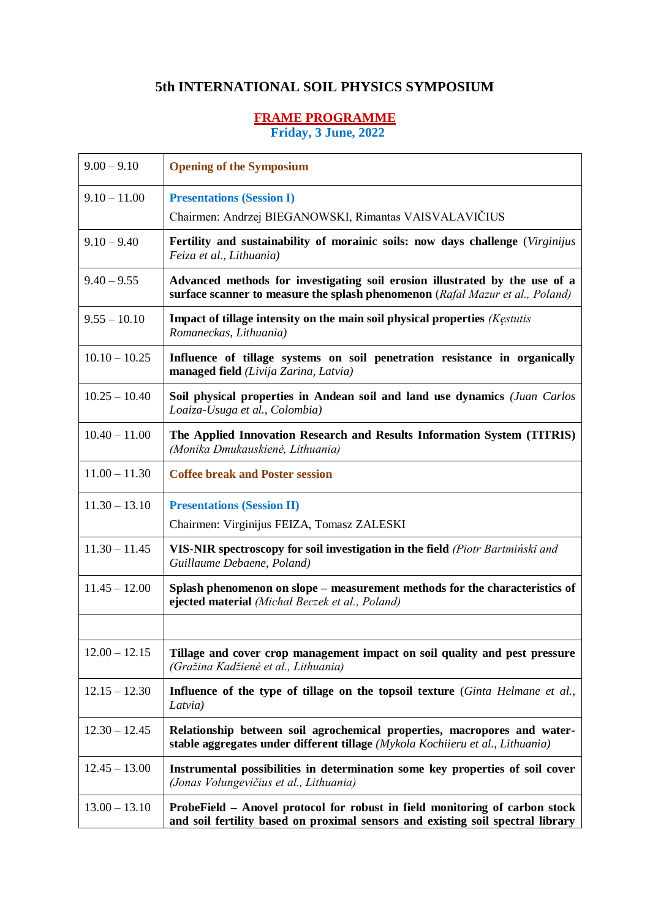## **5th INTERNATIONAL SOIL PHYSICS SYMPOSIUM**

## **FRAME PROGRAMME**

**Friday, 3 June, 2022**

| $9.00 - 9.10$   | <b>Opening of the Symposium</b>                                                                                                                                |
|-----------------|----------------------------------------------------------------------------------------------------------------------------------------------------------------|
| $9.10 - 11.00$  | <b>Presentations (Session I)</b>                                                                                                                               |
|                 | Chairmen: Andrzej BIEGANOWSKI, Rimantas VAISVALAVIČIUS                                                                                                         |
| $9.10 - 9.40$   | Fertility and sustainability of morainic soils: now days challenge (Virginijus<br>Feiza et al., Lithuania)                                                     |
| $9.40 - 9.55$   | Advanced methods for investigating soil erosion illustrated by the use of a<br>surface scanner to measure the splash phenomenon (Rafal Mazur et al., Poland)   |
| $9.55 - 10.10$  | Impact of tillage intensity on the main soil physical properties (Kestutis<br>Romaneckas, Lithuania)                                                           |
| $10.10 - 10.25$ | Influence of tillage systems on soil penetration resistance in organically<br>managed field (Livija Zarina, Latvia)                                            |
| $10.25 - 10.40$ | Soil physical properties in Andean soil and land use dynamics (Juan Carlos<br>Loaiza-Usuga et al., Colombia)                                                   |
| $10.40 - 11.00$ | The Applied Innovation Research and Results Information System (TITRIS)<br>(Monika Dmukauskienė, Lithuania)                                                    |
| $11.00 - 11.30$ | <b>Coffee break and Poster session</b>                                                                                                                         |
| $11.30 - 13.10$ | <b>Presentations (Session II)</b>                                                                                                                              |
|                 | Chairmen: Virginijus FEIZA, Tomasz ZALESKI                                                                                                                     |
| $11.30 - 11.45$ | VIS-NIR spectroscopy for soil investigation in the field (Piotr Bartminski and<br>Guillaume Debaene, Poland)                                                   |
| $11.45 - 12.00$ | Splash phenomenon on slope – measurement methods for the characteristics of<br>ejected material (Michał Beczek et al., Poland)                                 |
|                 |                                                                                                                                                                |
| $12.00 - 12.15$ | Tillage and cover crop management impact on soil quality and pest pressure<br>(Gražina Kadžienė et al., Lithuania)                                             |
| $12.15 - 12.30$ | Influence of the type of tillage on the topsoil texture (Ginta Helmane et al.,<br>Latvia)                                                                      |
| $12.30 - 12.45$ | Relationship between soil agrochemical properties, macropores and water-<br>stable aggregates under different tillage (Mykola Kochiieru et al., Lithuania)     |
| $12.45 - 13.00$ | Instrumental possibilities in determination some key properties of soil cover<br>(Jonas Volungevičius et al., Lithuania)                                       |
| $13.00 - 13.10$ | ProbeField – Anovel protocol for robust in field monitoring of carbon stock<br>and soil fertility based on proximal sensors and existing soil spectral library |